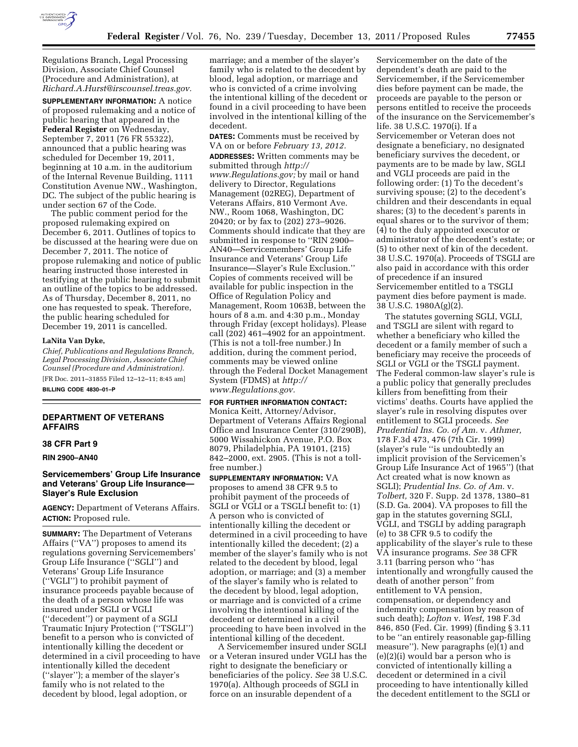

Regulations Branch, Legal Processing Division, Associate Chief Counsel (Procedure and Administration), at *[Richard.A.Hurst@irscounsel.treas.gov.](mailto:Richard.A.Hurst@irscounsel.treas.gov)* 

**SUPPLEMENTARY INFORMATION:** A notice of proposed rulemaking and a notice of public hearing that appeared in the **Federal Register** on Wednesday, September 7, 2011 (76 FR 55322), announced that a public hearing was scheduled for December 19, 2011, beginning at 10 a.m. in the auditorium of the Internal Revenue Building, 1111 Constitution Avenue NW., Washington, DC. The subject of the public hearing is under section 67 of the Code.

The public comment period for the proposed rulemaking expired on December 6, 2011. Outlines of topics to be discussed at the hearing were due on December 7, 2011. The notice of propose rulemaking and notice of public hearing instructed those interested in testifying at the public hearing to submit an outline of the topics to be addressed. As of Thursday, December 8, 2011, no one has requested to speak. Therefore, the public hearing scheduled for December 19, 2011 is cancelled.

# **LaNita Van Dyke,**

*Chief, Publications and Regulations Branch, Legal Processing Division, Associate Chief Counsel (Procedure and Administration).*  [FR Doc. 2011–31855 Filed 12–12–11; 8:45 am]

**BILLING CODE 4830–01–P** 

# **DEPARTMENT OF VETERANS AFFAIRS**

## **38 CFR Part 9**

**RIN 2900–AN40** 

# **Servicemembers' Group Life Insurance and Veterans' Group Life Insurance— Slayer's Rule Exclusion**

**AGENCY:** Department of Veterans Affairs. **ACTION:** Proposed rule.

**SUMMARY:** The Department of Veterans Affairs (''VA'') proposes to amend its regulations governing Servicemembers' Group Life Insurance (''SGLI'') and Veterans' Group Life Insurance (''VGLI'') to prohibit payment of insurance proceeds payable because of the death of a person whose life was insured under SGLI or VGLI (''decedent'') or payment of a SGLI Traumatic Injury Protection (''TSGLI'') benefit to a person who is convicted of intentionally killing the decedent or determined in a civil proceeding to have intentionally killed the decedent (''slayer''); a member of the slayer's family who is not related to the decedent by blood, legal adoption, or

marriage; and a member of the slayer's family who is related to the decedent by blood, legal adoption, or marriage and who is convicted of a crime involving the intentional killing of the decedent or found in a civil proceeding to have been involved in the intentional killing of the decedent.

**DATES:** Comments must be received by VA on or before *February 13, 2012.*  **ADDRESSES:** Written comments may be submitted through *[http://](http://www.Regulations.gov) [www.Regulations.gov;](http://www.Regulations.gov)* by mail or hand delivery to Director, Regulations Management (02REG), Department of Veterans Affairs, 810 Vermont Ave. NW., Room 1068, Washington, DC 20420; or by fax to (202) 273–9026. Comments should indicate that they are submitted in response to ''RIN 2900– AN40—Servicemembers' Group Life Insurance and Veterans' Group Life Insurance—Slayer's Rule Exclusion.'' Copies of comments received will be available for public inspection in the Office of Regulation Policy and Management, Room 1063B, between the hours of 8 a.m. and 4:30 p.m., Monday through Friday (except holidays). Please call (202) 461–4902 for an appointment. (This is not a toll-free number.) In addition, during the comment period, comments may be viewed online through the Federal Docket Management System (FDMS) at *[http://](http://www.Regulations.gov) [www.Regulations.gov.](http://www.Regulations.gov)* 

### **FOR FURTHER INFORMATION CONTACT:**

Monica Keitt, Attorney/Advisor, Department of Veterans Affairs Regional Office and Insurance Center (310/290B), 5000 Wissahickon Avenue, P.O. Box 8079, Philadelphia, PA 19101, (215) 842–2000, ext. 2905. (This is not a tollfree number.)

**SUPPLEMENTARY INFORMATION:** VA proposes to amend 38 CFR 9.5 to prohibit payment of the proceeds of SGLI or VGLI or a TSGLI benefit to: (1) A person who is convicted of intentionally killing the decedent or determined in a civil proceeding to have intentionally killed the decedent; (2) a member of the slayer's family who is not related to the decedent by blood, legal adoption, or marriage; and (3) a member of the slayer's family who is related to the decedent by blood, legal adoption, or marriage and is convicted of a crime involving the intentional killing of the decedent or determined in a civil proceeding to have been involved in the intentional killing of the decedent.

A Servicemember insured under SGLI or a Veteran insured under VGLI has the right to designate the beneficiary or beneficiaries of the policy. *See* 38 U.S.C. 1970(a). Although proceeds of SGLI in force on an insurable dependent of a

Servicemember on the date of the dependent's death are paid to the Servicemember, if the Servicemember dies before payment can be made, the proceeds are payable to the person or persons entitled to receive the proceeds of the insurance on the Servicemember's life. 38 U.S.C. 1970(i). If a Servicemember or Veteran does not designate a beneficiary, no designated beneficiary survives the decedent, or payments are to be made by law, SGLI and VGLI proceeds are paid in the following order: (1) To the decedent's surviving spouse; (2) to the decedent's children and their descendants in equal shares; (3) to the decedent's parents in equal shares or to the survivor of them; (4) to the duly appointed executor or administrator of the decedent's estate; or (5) to other next of kin of the decedent. 38 U.S.C. 1970(a). Proceeds of TSGLI are also paid in accordance with this order of precedence if an insured Servicemember entitled to a TSGLI payment dies before payment is made. 38 U.S.C. 1980A(g)(2).

The statutes governing SGLI, VGLI, and TSGLI are silent with regard to whether a beneficiary who killed the decedent or a family member of such a beneficiary may receive the proceeds of SGLI or VGLI or the TSGLI payment. The Federal common-law slayer's rule is a public policy that generally precludes killers from benefitting from their victims' deaths. Courts have applied the slayer's rule in resolving disputes over entitlement to SGLI proceeds. *See Prudential Ins. Co. of Am.* v. *Athmer,*  178 F.3d 473, 476 (7th Cir. 1999) (slayer's rule ''is undoubtedly an implicit provision of the Servicemen's Group Life Insurance Act of 1965'') (that Act created what is now known as SGLI); *Prudential Ins. Co. of Am.* v. *Tolbert,* 320 F. Supp. 2d 1378, 1380–81 (S.D. Ga. 2004). VA proposes to fill the gap in the statutes governing SGLI, VGLI, and TSGLI by adding paragraph (e) to 38 CFR 9.5 to codify the applicability of the slayer's rule to these VA insurance programs. *See* 38 CFR 3.11 (barring person who ''has intentionally and wrongfully caused the death of another person'' from entitlement to VA pension, compensation, or dependency and indemnity compensation by reason of such death); *Lofton* v. *West,* 198 F.3d 846, 850 (Fed. Cir. 1999) (finding § 3.11 to be ''an entirely reasonable gap-filling measure''). New paragraphs (e)(1) and (e)(2)(i) would bar a person who is convicted of intentionally killing a decedent or determined in a civil proceeding to have intentionally killed the decedent entitlement to the SGLI or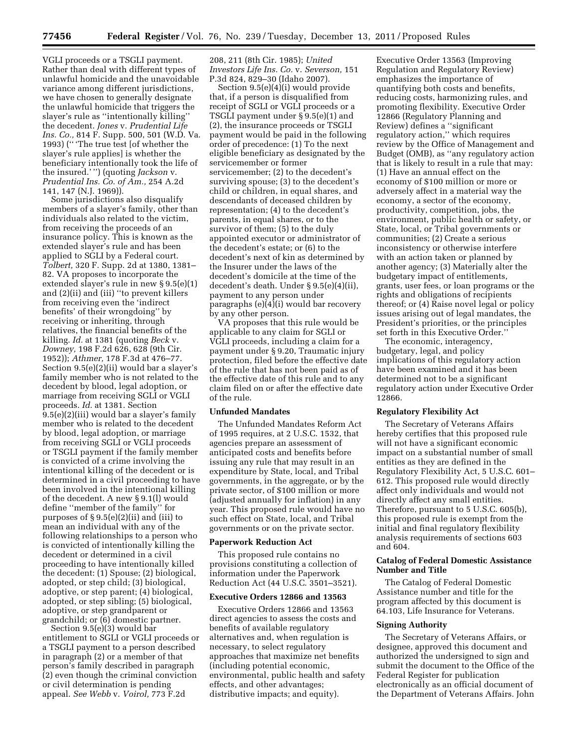VGLI proceeds or a TSGLI payment. Rather than deal with different types of unlawful homicide and the unavoidable variance among different jurisdictions, we have chosen to generally designate the unlawful homicide that triggers the slayer's rule as ''intentionally killing'' the decedent. *Jones* v. *Prudential Life Ins. Co.,* 814 F. Supp. 500, 501 (W.D. Va. 1993) ('' 'The true test [of whether the slayer's rule applies] is whether the beneficiary intentionally took the life of the insured.' '') (quoting *Jackson* v. *Prudential Ins. Co. of Am.,* 254 A.2d 141, 147 (N.J. 1969)).

Some jurisdictions also disqualify members of a slayer's family, other than individuals also related to the victim, from receiving the proceeds of an insurance policy. This is known as the extended slayer's rule and has been applied to SGLI by a Federal court. *Tolbert,* 320 F. Supp. 2d at 1380, 1381– 82. VA proposes to incorporate the extended slayer's rule in new § 9.5(e)(1) and (2)(ii) and (iii) ''to prevent killers from receiving even the 'indirect benefits' of their wrongdoing'' by receiving or inheriting, through relatives, the financial benefits of the killing. *Id.* at 1381 (quoting *Beck* v. *Downey,* 198 F.2d 626, 628 (9th Cir. 1952)); *Athmer,* 178 F.3d at 476–77. Section 9.5(e)(2)(ii) would bar a slayer's family member who is not related to the decedent by blood, legal adoption, or marriage from receiving SGLI or VGLI proceeds. *Id.* at 1381. Section 9.5(e)(2)(iii) would bar a slayer's family member who is related to the decedent by blood, legal adoption, or marriage from receiving SGLI or VGLI proceeds or TSGLI payment if the family member is convicted of a crime involving the intentional killing of the decedent or is determined in a civil proceeding to have been involved in the intentional killing of the decedent. A new § 9.1(l) would define ''member of the family'' for purposes of  $\S 9.5(e)(2)(ii)$  and (iii) to mean an individual with any of the following relationships to a person who is convicted of intentionally killing the decedent or determined in a civil proceeding to have intentionally killed the decedent: (1) Spouse; (2) biological, adopted, or step child; (3) biological, adoptive, or step parent; (4) biological, adopted, or step sibling; (5) biological, adoptive, or step grandparent or grandchild; or (6) domestic partner.

Section 9.5(e)(3) would bar entitlement to SGLI or VGLI proceeds or a TSGLI payment to a person described in paragraph (2) or a member of that person's family described in paragraph (2) even though the criminal conviction or civil determination is pending appeal. *See Webb* v. *Voirol,* 773 F.2d

208, 211 (8th Cir. 1985); *United Investors Life Ins. Co.* v. *Severson,* 151 P.3d 824, 829–30 (Idaho 2007).

Section 9.5(e)(4)(i) would provide that, if a person is disqualified from receipt of SGLI or VGLI proceeds or a TSGLI payment under § 9.5(e)(1) and (2), the insurance proceeds or TSGLI payment would be paid in the following order of precedence: (1) To the next eligible beneficiary as designated by the servicemember or former servicemember; (2) to the decedent's surviving spouse; (3) to the decedent's child or children, in equal shares, and descendants of deceased children by representation; (4) to the decedent's parents, in equal shares, or to the survivor of them; (5) to the duly appointed executor or administrator of the decedent's estate; or (6) to the decedent's next of kin as determined by the Insurer under the laws of the decedent's domicile at the time of the decedent's death. Under § 9.5(e)(4)(ii), payment to any person under paragraphs (e)(4)(i) would bar recovery by any other person.

VA proposes that this rule would be applicable to any claim for SGLI or VGLI proceeds, including a claim for a payment under § 9.20, Traumatic injury protection, filed before the effective date of the rule that has not been paid as of the effective date of this rule and to any claim filed on or after the effective date of the rule.

### **Unfunded Mandates**

The Unfunded Mandates Reform Act of 1995 requires, at 2 U.S.C. 1532, that agencies prepare an assessment of anticipated costs and benefits before issuing any rule that may result in an expenditure by State, local, and Tribal governments, in the aggregate, or by the private sector, of \$100 million or more (adjusted annually for inflation) in any year. This proposed rule would have no such effect on State, local, and Tribal governments or on the private sector.

#### **Paperwork Reduction Act**

This proposed rule contains no provisions constituting a collection of information under the Paperwork Reduction Act (44 U.S.C. 3501–3521).

## **Executive Orders 12866 and 13563**

Executive Orders 12866 and 13563 direct agencies to assess the costs and benefits of available regulatory alternatives and, when regulation is necessary, to select regulatory approaches that maximize net benefits (including potential economic, environmental, public health and safety effects, and other advantages; distributive impacts; and equity).

Executive Order 13563 (Improving Regulation and Regulatory Review) emphasizes the importance of quantifying both costs and benefits, reducing costs, harmonizing rules, and promoting flexibility. Executive Order 12866 (Regulatory Planning and Review) defines a ''significant regulatory action,'' which requires review by the Office of Management and Budget (OMB), as ''any regulatory action that is likely to result in a rule that may: (1) Have an annual effect on the economy of \$100 million or more or adversely affect in a material way the economy, a sector of the economy, productivity, competition, jobs, the environment, public health or safety, or State, local, or Tribal governments or communities; (2) Create a serious inconsistency or otherwise interfere with an action taken or planned by another agency; (3) Materially alter the budgetary impact of entitlements, grants, user fees, or loan programs or the rights and obligations of recipients thereof; or (4) Raise novel legal or policy issues arising out of legal mandates, the President's priorities, or the principles set forth in this Executive Order.''

The economic, interagency, budgetary, legal, and policy implications of this regulatory action have been examined and it has been determined not to be a significant regulatory action under Executive Order 12866.

#### **Regulatory Flexibility Act**

The Secretary of Veterans Affairs hereby certifies that this proposed rule will not have a significant economic impact on a substantial number of small entities as they are defined in the Regulatory Flexibility Act, 5 U.S.C. 601– 612. This proposed rule would directly affect only individuals and would not directly affect any small entities. Therefore, pursuant to 5 U.S.C. 605(b), this proposed rule is exempt from the initial and final regulatory flexibility analysis requirements of sections 603 and 604.

## **Catalog of Federal Domestic Assistance Number and Title**

The Catalog of Federal Domestic Assistance number and title for the program affected by this document is 64.103, Life Insurance for Veterans.

#### **Signing Authority**

The Secretary of Veterans Affairs, or designee, approved this document and authorized the undersigned to sign and submit the document to the Office of the Federal Register for publication electronically as an official document of the Department of Veterans Affairs. John